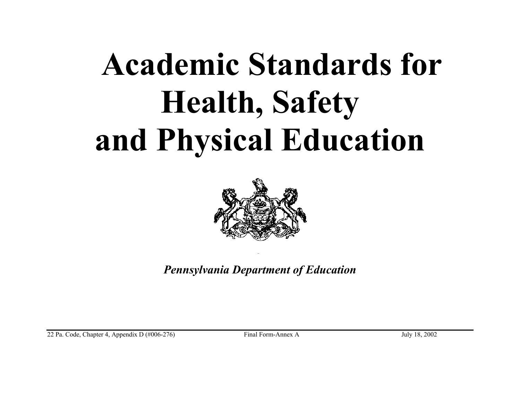

*Pennsylvania Department of Education* 

22 Pa. Code, Chapter 4, Appendix D (#006-276) Final Form-Annex A July 18, 2002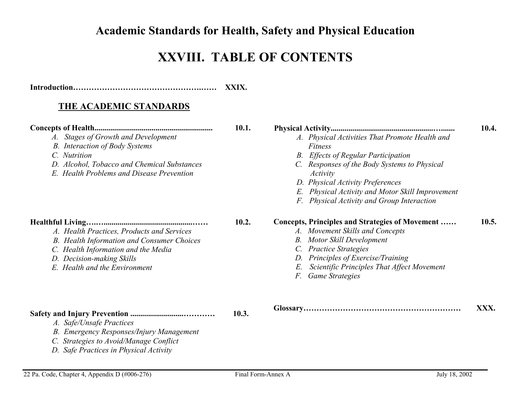# **XXVIII. TABLE OF CONTENTS**

| XXIX. |
|-------|
|       |

#### **THE ACADEMIC STANDARDS**

| A. Stages of Growth and Development<br><b>B.</b> Interaction of Body Systems<br>C. Nutrition<br>D. Alcohol, Tobacco and Chemical Substances<br>E. Health Problems and Disease Prevention      | 10.1. | A. Physical Activities That Promote Health and<br><b>Fitness</b><br><b>B.</b> Effects of Regular Participation<br>C. Responses of the Body Systems to Physical<br>Activity<br>D. Physical Activity Preferences<br>E. Physical Activity and Motor Skill Improvement<br>F. Physical Activity and Group Interaction | 10.4. |
|-----------------------------------------------------------------------------------------------------------------------------------------------------------------------------------------------|-------|------------------------------------------------------------------------------------------------------------------------------------------------------------------------------------------------------------------------------------------------------------------------------------------------------------------|-------|
| A. Health Practices, Products and Services<br>B. Health Information and Consumer Choices<br>C. Health Information and the Media<br>D. Decision-making Skills<br>E. Health and the Environment | 10.2. | Concepts, Principles and Strategies of Movement<br>A. Movement Skills and Concepts<br><b>Motor Skill Development</b><br>В.<br>C. Practice Strategies<br>Principles of Exercise/Training<br>D.<br>E.<br>Scientific Principles That Affect Movement<br><b>Game Strategies</b><br>F.                                | 10.5. |
| A. Safe/Unsafe Practices<br>B. Emergency Responses/Injury Management<br>C. Strategies to Avoid/Manage Conflict                                                                                | 10.3. |                                                                                                                                                                                                                                                                                                                  | XXX.  |

22 Pa. Code, Chapter 4, Appendix D (#006-276) Final Form-Annex A July 18, 2002

 *D. Safe Practices in Physical Activity*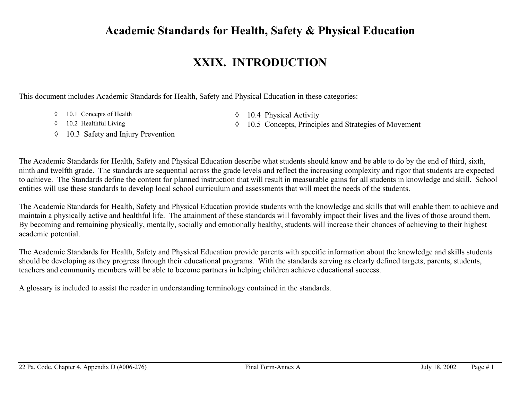#### **XXIX. INTRODUCTION**

This document includes Academic Standards for Health, Safety and Physical Education in these categories:

- 
- ◊ 10.1 Concepts of Health ◊ 10.4 Physical Activity
- 
- ◊ 10.3 Safety and Injury Prevention
- ◊ 10.2 Healthful Living ◊ 10.5 Concepts, Principles and Strategies of Movement

The Academic Standards for Health, Safety and Physical Education describe what students should know and be able to do by the end of third, sixth, ninth and twelfth grade. The standards are sequential across the grade levels and reflect the increasing complexity and rigor that students are expected to achieve. The Standards define the content for planned instruction that will result in measurable gains for all students in knowledge and skill. School entities will use these standards to develop local school curriculum and assessments that will meet the needs of the students.

The Academic Standards for Health, Safety and Physical Education provide students with the knowledge and skills that will enable them to achieve and maintain a physically active and healthful life. The attainment of these standards will favorably impact their lives and the lives of those around them. By becoming and remaining physically, mentally, socially and emotionally healthy, students will increase their chances of achieving to their highest academic potential.

The Academic Standards for Health, Safety and Physical Education provide parents with specific information about the knowledge and skills students should be developing as they progress through their educational programs. With the standards serving as clearly defined targets, parents, students, teachers and community members will be able to become partners in helping children achieve educational success.

A glossary is included to assist the reader in understanding terminology contained in the standards.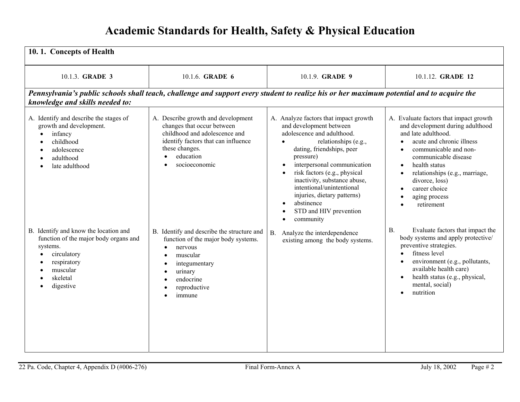| 10.1. Concepts of Health                                                                                                                                      |                                                                                                                                                                                          |                                                                                                                                                                                                                                                                                                                                                                                                                                      |                                                                                                                                                                                                                                                                                                                                                                                    |
|---------------------------------------------------------------------------------------------------------------------------------------------------------------|------------------------------------------------------------------------------------------------------------------------------------------------------------------------------------------|--------------------------------------------------------------------------------------------------------------------------------------------------------------------------------------------------------------------------------------------------------------------------------------------------------------------------------------------------------------------------------------------------------------------------------------|------------------------------------------------------------------------------------------------------------------------------------------------------------------------------------------------------------------------------------------------------------------------------------------------------------------------------------------------------------------------------------|
| 10.1.3. <b>GRADE 3</b>                                                                                                                                        | 10.1.6. <b>GRADE 6</b>                                                                                                                                                                   | 10.1.9. <b>GRADE 9</b>                                                                                                                                                                                                                                                                                                                                                                                                               | 10.1.12. GRADE 12                                                                                                                                                                                                                                                                                                                                                                  |
| knowledge and skills needed to:                                                                                                                               | Pennsylvania's public schools shall teach, challenge and support every student to realize his or her maximum potential and to acquire the                                                |                                                                                                                                                                                                                                                                                                                                                                                                                                      |                                                                                                                                                                                                                                                                                                                                                                                    |
| A. Identify and describe the stages of<br>growth and development.<br>infancy<br>childhood<br>adolescence<br>adulthood<br>late adulthood                       | A. Describe growth and development<br>changes that occur between<br>childhood and adolescence and<br>identify factors that can influence<br>these changes.<br>education<br>socioeconomic | A. Analyze factors that impact growth<br>and development between<br>adolescence and adulthood.<br>relationships (e.g.,<br>dating, friendships, peer<br>pressure)<br>interpersonal communication<br>$\bullet$<br>risk factors (e.g., physical<br>$\bullet$<br>inactivity, substance abuse,<br>intentional/unintentional<br>injuries, dietary patterns)<br>abstinence<br>$\bullet$<br>STD and HIV prevention<br>community<br>$\bullet$ | A. Evaluate factors that impact growth<br>and development during adulthood<br>and late adulthood.<br>acute and chronic illness<br>$\bullet$<br>communicable and non-<br>$\bullet$<br>communicable disease<br>health status<br>$\bullet$<br>relationships (e.g., marriage,<br>$\bullet$<br>divorce, loss)<br>career choice<br>$\bullet$<br>aging process<br>$\bullet$<br>retirement |
| B. Identify and know the location and<br>function of the major body organs and<br>systems.<br>circulatory<br>respiratory<br>muscular<br>skeletal<br>digestive | B. Identify and describe the structure and<br>function of the major body systems.<br>nervous<br>$\bullet$<br>muscular<br>integumentary<br>urinary<br>endocrine<br>reproductive<br>immune | Analyze the interdependence<br>B <sub>1</sub><br>existing among the body systems.                                                                                                                                                                                                                                                                                                                                                    | Evaluate factors that impact the<br><b>B.</b><br>body systems and apply protective/<br>preventive strategies.<br>fitness level<br>$\bullet$<br>environment (e.g., pollutants,<br>$\bullet$<br>available health care)<br>health status (e.g., physical,<br>$\bullet$<br>mental, social)<br>nutrition<br>$\bullet$                                                                   |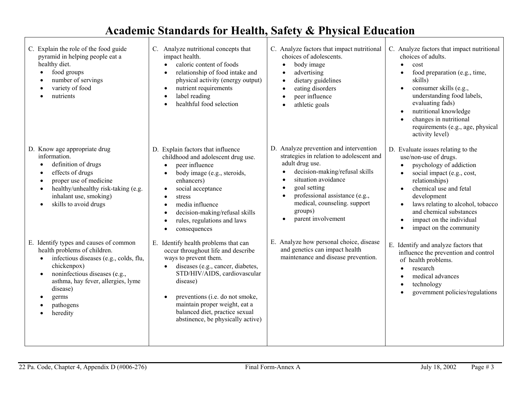| C. Explain the role of the food guide<br>pyramid in helping people eat a<br>healthy diet.<br>food groups<br>number of servings<br>variety of food<br>nutrients                                                                                       | C. Analyze nutritional concepts that<br>impact health.<br>caloric content of foods<br>$\bullet$<br>relationship of food intake and<br>$\bullet$<br>physical activity (energy output)<br>nutrient requirements<br>$\bullet$<br>label reading<br>$\bullet$<br>healthful food selection                                                                                              | C. Analyze factors that impact nutritional<br>choices of adolescents.<br>body image<br>advertising<br>dietary guidelines<br>eating disorders<br>peer influence<br>athletic goals                                                                                                  | C. Analyze factors that impact nutritional<br>choices of adults.<br>cost<br>$\bullet$<br>food preparation (e.g., time,<br>skills)<br>consumer skills (e.g.,<br>understanding food labels,<br>evaluating fads)<br>nutritional knowledge<br>$\bullet$<br>changes in nutritional<br>requirements (e.g., age, physical<br>activity level)                      |
|------------------------------------------------------------------------------------------------------------------------------------------------------------------------------------------------------------------------------------------------------|-----------------------------------------------------------------------------------------------------------------------------------------------------------------------------------------------------------------------------------------------------------------------------------------------------------------------------------------------------------------------------------|-----------------------------------------------------------------------------------------------------------------------------------------------------------------------------------------------------------------------------------------------------------------------------------|------------------------------------------------------------------------------------------------------------------------------------------------------------------------------------------------------------------------------------------------------------------------------------------------------------------------------------------------------------|
| D. Know age appropriate drug<br>information.<br>definition of drugs<br>effects of drugs<br>proper use of medicine<br>healthy/unhealthy risk-taking (e.g.<br>inhalant use, smoking)<br>skills to avoid drugs<br>$\bullet$                             | D. Explain factors that influence<br>childhood and adolescent drug use.<br>peer influence<br>$\bullet$<br>body image (e.g., steroids,<br>$\bullet$<br>enhancers)<br>social acceptance<br>$\bullet$<br>stress<br>$\bullet$<br>media influence<br>$\bullet$<br>decision-making/refusal skills<br>$\bullet$<br>rules, regulations and laws<br>$\bullet$<br>consequences<br>$\bullet$ | D. Analyze prevention and intervention<br>strategies in relation to adolescent and<br>adult drug use.<br>decision-making/refusal skills<br>situation avoidance<br>goal setting<br>professional assistance (e.g.,<br>medical, counseling. support<br>groups)<br>parent involvement | D. Evaluate issues relating to the<br>use/non-use of drugs.<br>psychology of addiction<br>social impact (e.g., cost,<br>relationships)<br>chemical use and fetal<br>$\bullet$<br>development<br>laws relating to alcohol, tobacco<br>$\bullet$<br>and chemical substances<br>impact on the individual<br>$\bullet$<br>impact on the community<br>$\bullet$ |
| E. Identify types and causes of common<br>health problems of children.<br>infectious diseases (e.g., colds, flu,<br>chickenpox)<br>noninfectious diseases (e.g.,<br>asthma, hay fever, allergies, lyme<br>disease)<br>germs<br>pathogens<br>heredity | E. Identify health problems that can<br>occur throughout life and describe<br>ways to prevent them.<br>diseases (e.g., cancer, diabetes,<br>$\bullet$<br>STD/HIV/AIDS, cardiovascular<br>disease)<br>preventions (i.e. do not smoke,<br>$\bullet$<br>maintain proper weight, eat a<br>balanced diet, practice sexual<br>abstinence, be physically active)                         | E. Analyze how personal choice, disease<br>and genetics can impact health<br>maintenance and disease prevention.                                                                                                                                                                  | E. Identify and analyze factors that<br>influence the prevention and control<br>of health problems.<br>research<br>$\bullet$<br>medical advances<br>technology<br>$\bullet$<br>government policies/regulations                                                                                                                                             |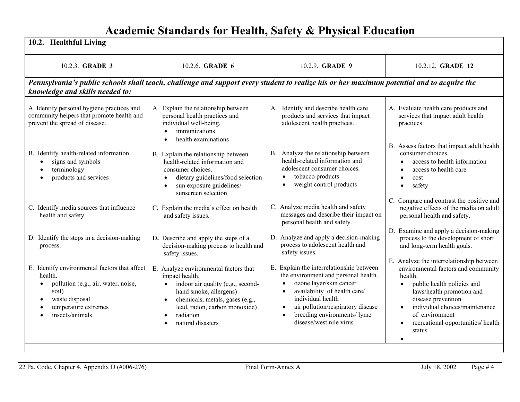| 10.2. Healthful Living                                                                                                                                                                          |                                                                                                                                                                                                                                                                     |                                                                                                                                                                                                                                                                                                                     |                                                                                                                                                                                                                                                                                              |
|-------------------------------------------------------------------------------------------------------------------------------------------------------------------------------------------------|---------------------------------------------------------------------------------------------------------------------------------------------------------------------------------------------------------------------------------------------------------------------|---------------------------------------------------------------------------------------------------------------------------------------------------------------------------------------------------------------------------------------------------------------------------------------------------------------------|----------------------------------------------------------------------------------------------------------------------------------------------------------------------------------------------------------------------------------------------------------------------------------------------|
| 10.2.3. GRADE 3                                                                                                                                                                                 | 10.2.6. GRADE 6                                                                                                                                                                                                                                                     | 10.2.9. GRADE 9                                                                                                                                                                                                                                                                                                     | 10.2.12. GRADE 12                                                                                                                                                                                                                                                                            |
| Pennsylvania's public schools shall teach, challenge and support every student to realize his or her maximum potential and to acquire the<br>knowledge and skills needed to:                    |                                                                                                                                                                                                                                                                     |                                                                                                                                                                                                                                                                                                                     |                                                                                                                                                                                                                                                                                              |
| A. Identify personal hygiene practices and<br>community helpers that promote health and<br>prevent the spread of disease.                                                                       | A. Explain the relationship between<br>personal health practices and<br>individual well-being.<br>immunizations<br>$\bullet$<br>health examinations<br>$\bullet$                                                                                                    | A. Identify and describe health care<br>products and services that impact<br>adolescent health practices.                                                                                                                                                                                                           | A. Evaluate health care products and<br>services that impact adult health<br>practices.                                                                                                                                                                                                      |
| B. Identify health-related information.<br>signs and symbols<br>terminology<br>products and services                                                                                            | B. Explain the relationship between<br>health-related information and<br>consumer choices.<br>dietary guidelines/food selection<br>$\bullet$<br>sun exposure guidelines/<br>$\bullet$<br>sunscreen selection                                                        | B. Analyze the relationship between<br>health-related information and<br>adolescent consumer choices.<br>tobacco products<br>$\bullet$<br>weight control products<br>$\bullet$                                                                                                                                      | B. Assess factors that impact adult health<br>consumer choices.<br>access to health information<br>access to health care<br>cost<br>$\bullet$<br>safety<br>$\bullet$                                                                                                                         |
| C. Identify media sources that influence<br>health and safety.                                                                                                                                  | C. Explain the media's effect on health<br>and safety issues.                                                                                                                                                                                                       | C. Analyze media health and safety<br>messages and describe their impact on<br>personal health and safety.                                                                                                                                                                                                          | C. Compare and contrast the positive and<br>negative effects of the media on adult<br>personal health and safety.                                                                                                                                                                            |
| D. Identify the steps in a decision-making<br>process.                                                                                                                                          | D. Describe and apply the steps of a<br>decision-making process to health and<br>safety issues.                                                                                                                                                                     | D. Analyze and apply a decision-making<br>process to adolescent health and<br>safety issues.                                                                                                                                                                                                                        | D. Examine and apply a decision-making<br>process to the development of short<br>and long-term health goals.                                                                                                                                                                                 |
| E. Identify environmental factors that affect<br>health.<br>pollution (e.g., air, water, noise,<br>$\bullet$<br>soil)<br>waste disposal<br>$\bullet$<br>temperature extremes<br>insects/animals | E. Analyze environmental factors that<br>impact health.<br>indoor air quality (e.g., second-<br>$\bullet$<br>hand smoke, allergens)<br>chemicals, metals, gases (e.g.,<br>$\bullet$<br>lead, radon, carbon monoxide)<br>radiation<br>$\bullet$<br>natural disasters | E. Explain the interrelationship between<br>the environment and personal health.<br>ozone layer/skin cancer<br>$\bullet$<br>availability of health care/<br>$\bullet$<br>individual health<br>air pollution/respiratory disease<br>$\bullet$<br>breeding environments/ lyme<br>$\bullet$<br>disease/west nile virus | E. Analyze the interrelationship between<br>environmental factors and community<br>health.<br>public health policies and<br>laws/health promotion and<br>disease prevention<br>individual choices/maintenance<br>$\bullet$<br>of environment<br>recreational opportunities/ health<br>status |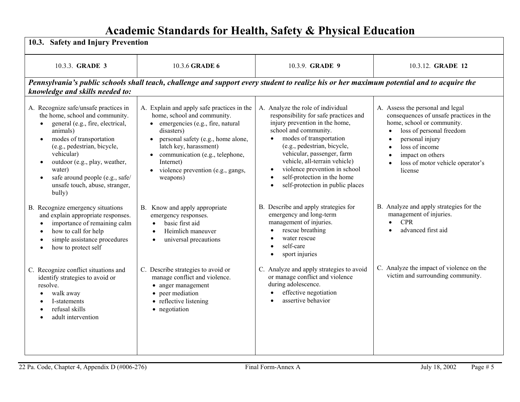| 10.3. Safety and Injury Prevention                                                                                                                                                                                                                                                                                                      |                                                                                                                                                                                                                                                                                              |                                                                                                                                                                                                                                                                                                                                                                                              |                                                                                                                                                                                                                                                                                                                |
|-----------------------------------------------------------------------------------------------------------------------------------------------------------------------------------------------------------------------------------------------------------------------------------------------------------------------------------------|----------------------------------------------------------------------------------------------------------------------------------------------------------------------------------------------------------------------------------------------------------------------------------------------|----------------------------------------------------------------------------------------------------------------------------------------------------------------------------------------------------------------------------------------------------------------------------------------------------------------------------------------------------------------------------------------------|----------------------------------------------------------------------------------------------------------------------------------------------------------------------------------------------------------------------------------------------------------------------------------------------------------------|
| 10.3.3. GRADE 3                                                                                                                                                                                                                                                                                                                         | 10.3.6 GRADE 6                                                                                                                                                                                                                                                                               | 10.3.9. GRADE 9                                                                                                                                                                                                                                                                                                                                                                              | 10.3.12. GRADE 12                                                                                                                                                                                                                                                                                              |
| knowledge and skills needed to:                                                                                                                                                                                                                                                                                                         | Pennsylvania's public schools shall teach, challenge and support every student to realize his or her maximum potential and to acquire the                                                                                                                                                    |                                                                                                                                                                                                                                                                                                                                                                                              |                                                                                                                                                                                                                                                                                                                |
| A. Recognize safe/unsafe practices in<br>the home, school and community.<br>general (e.g., fire, electrical,<br>animals)<br>modes of transportation<br>$\bullet$<br>(e.g., pedestrian, bicycle,<br>vehicular)<br>outdoor (e.g., play, weather,<br>water)<br>safe around people (e.g., safe/<br>unsafe touch, abuse, stranger,<br>bully) | A. Explain and apply safe practices in the<br>home, school and community.<br>emergencies (e.g., fire, natural<br>disasters)<br>personal safety (e.g., home alone,<br>latch key, harassment)<br>communication (e.g., telephone,<br>Internet)<br>violence prevention (e.g., gangs,<br>weapons) | A. Analyze the role of individual<br>responsibility for safe practices and<br>injury prevention in the home,<br>school and community.<br>modes of transportation<br>(e.g., pedestrian, bicycle,<br>vehicular, passenger, farm<br>vehicle, all-terrain vehicle)<br>violence prevention in school<br>$\bullet$<br>self-protection in the home<br>self-protection in public places<br>$\bullet$ | A. Assess the personal and legal<br>consequences of unsafe practices in the<br>home, school or community.<br>loss of personal freedom<br>$\bullet$<br>personal injury<br>$\bullet$<br>loss of income<br>$\bullet$<br>impact on others<br>$\bullet$<br>loss of motor vehicle operator's<br>$\bullet$<br>license |
| B. Recognize emergency situations<br>and explain appropriate responses.<br>importance of remaining calm<br>how to call for help<br>$\bullet$<br>simple assistance procedures<br>$\bullet$<br>how to protect self<br>$\bullet$                                                                                                           | B. Know and apply appropriate<br>emergency responses.<br>basic first aid<br>Heimlich maneuver<br>universal precautions<br>$\bullet$                                                                                                                                                          | B. Describe and apply strategies for<br>emergency and long-term<br>management of injuries.<br>rescue breathing<br>water rescue<br>self-care<br>sport injuries                                                                                                                                                                                                                                | B. Analyze and apply strategies for the<br>management of injuries.<br><b>CPR</b><br>$\bullet$<br>advanced first aid                                                                                                                                                                                            |
| C. Recognize conflict situations and<br>identify strategies to avoid or<br>resolve.<br>walk away<br>I-statements<br>refusal skills<br>adult intervention                                                                                                                                                                                | C. Describe strategies to avoid or<br>manage conflict and violence.<br>• anger management<br>• peer mediation<br>• reflective listening<br>• negotiation                                                                                                                                     | C. Analyze and apply strategies to avoid<br>or manage conflict and violence<br>during adolescence.<br>effective negotiation<br>assertive behavior<br>$\bullet$                                                                                                                                                                                                                               | C. Analyze the impact of violence on the<br>victim and surrounding community.                                                                                                                                                                                                                                  |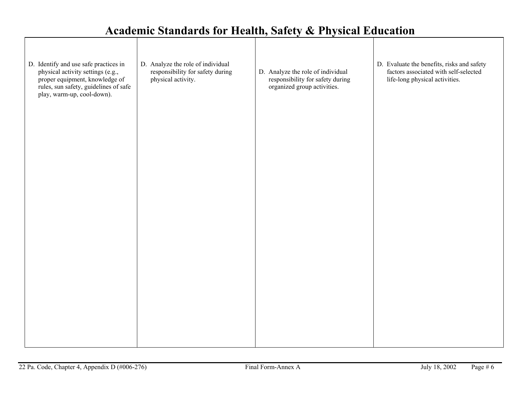| D. Identify and use safe practices in<br>physical activity settings (e.g.,<br>proper equipment, knowledge of<br>rules, sun safety, guidelines of safe<br>play, warm-up, cool-down). | D. Analyze the role of individual<br>responsibility for safety during<br>physical activity. | D. Analyze the role of individual<br>responsibility for safety during<br>organized group activities. | D. Evaluate the benefits, risks and safety<br>factors associated with self-selected<br>life-long physical activities. |
|-------------------------------------------------------------------------------------------------------------------------------------------------------------------------------------|---------------------------------------------------------------------------------------------|------------------------------------------------------------------------------------------------------|-----------------------------------------------------------------------------------------------------------------------|
|                                                                                                                                                                                     |                                                                                             |                                                                                                      |                                                                                                                       |
|                                                                                                                                                                                     |                                                                                             |                                                                                                      |                                                                                                                       |
|                                                                                                                                                                                     |                                                                                             |                                                                                                      |                                                                                                                       |
|                                                                                                                                                                                     |                                                                                             |                                                                                                      |                                                                                                                       |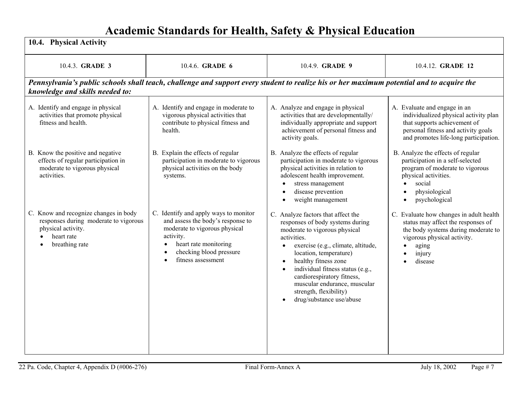| 10.4. Physical Activity                                                                                                              |                                                                                                                                                                                                    |                                                                                                                                                                                                                                                                                                                                                                                                               |                                                                                                                                                                                       |
|--------------------------------------------------------------------------------------------------------------------------------------|----------------------------------------------------------------------------------------------------------------------------------------------------------------------------------------------------|---------------------------------------------------------------------------------------------------------------------------------------------------------------------------------------------------------------------------------------------------------------------------------------------------------------------------------------------------------------------------------------------------------------|---------------------------------------------------------------------------------------------------------------------------------------------------------------------------------------|
| 10.4.3. GRADE 3                                                                                                                      | 10.4.6. GRADE 6                                                                                                                                                                                    | 10.4.9. GRADE 9                                                                                                                                                                                                                                                                                                                                                                                               | 10.4.12. GRADE 12                                                                                                                                                                     |
| knowledge and skills needed to:                                                                                                      |                                                                                                                                                                                                    | Pennsylvania's public schools shall teach, challenge and support every student to realize his or her maximum potential and to acquire the                                                                                                                                                                                                                                                                     |                                                                                                                                                                                       |
| A. Identify and engage in physical<br>activities that promote physical<br>fitness and health.                                        | A. Identify and engage in moderate to<br>vigorous physical activities that<br>contribute to physical fitness and<br>health.                                                                        | A. Analyze and engage in physical<br>activities that are developmentally/<br>individually appropriate and support<br>achievement of personal fitness and<br>activity goals.                                                                                                                                                                                                                                   | A. Evaluate and engage in an<br>individualized physical activity plan<br>that supports achievement of<br>personal fitness and activity goals<br>and promotes life-long participation. |
| B. Know the positive and negative<br>effects of regular participation in<br>moderate to vigorous physical<br>activities.             | B. Explain the effects of regular<br>participation in moderate to vigorous<br>physical activities on the body<br>systems.                                                                          | B. Analyze the effects of regular<br>participation in moderate to vigorous<br>physical activities in relation to<br>adolescent health improvement.<br>stress management<br>$\bullet$<br>disease prevention<br>weight management                                                                                                                                                                               | B. Analyze the effects of regular<br>participation in a self-selected<br>program of moderate to vigorous<br>physical activities.<br>social<br>physiological<br>psychological          |
| C. Know and recognize changes in body<br>responses during moderate to vigorous<br>physical activity.<br>heart rate<br>breathing rate | C. Identify and apply ways to monitor<br>and assess the body's response to<br>moderate to vigorous physical<br>activity.<br>heart rate monitoring<br>checking blood pressure<br>fitness assessment | C. Analyze factors that affect the<br>responses of body systems during<br>moderate to vigorous physical<br>activities.<br>exercise (e.g., climate, altitude,<br>$\bullet$<br>location, temperature)<br>healthy fitness zone<br>$\bullet$<br>individual fitness status (e.g.,<br>$\bullet$<br>cardiorespiratory fitness,<br>muscular endurance, muscular<br>strength, flexibility)<br>drug/substance use/abuse | C. Evaluate how changes in adult health<br>status may affect the responses of<br>the body systems during moderate to<br>vigorous physical activity.<br>aging<br>injury<br>disease     |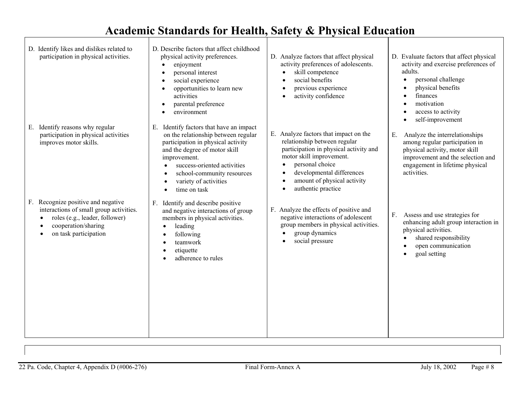D. Identify likes and dislikes related to participation in physical activities. E. Identify reasons why regular participation in physical activities improves motor skills. F. Recognize positive and negative interactions of small group activities. • roles (e.g., leader, follower) • cooperation/sharing • on task participation D. Describe factors that affect childhood physical activity preferences. • enjoyment • personal interest social experience • opportunities to learn new activities • parental preference • environment E. Identify factors that have an impact on the relationship between regular participation in physical activity and the degree of motor skill improvement. • success-oriented activities • school-community resources • variety of activities • time on task F. Identify and describe positive and negative interactions of group members in physical activities. • leading • following • teamwork • etiquette • adherence to rules D. Analyze factors that affect physical activity preferences of adolescents. • skill competence • social benefits • previous experience • activity confidence E. Analyze factors that impact on the relationship between regular participation in physical activity and motor skill improvement. • personal choice developmental differences • amount of physical activity • authentic practice F. Analyze the effects of positive and negative interactions of adolescent group members in physical activities. • group dynamics • social pressure D. Evaluate factors that affect physical activity and exercise preferences of adults. • personal challenge • physical benefits finances motivation access to activity • self-improvement E. Analyze the interrelationships among regular participation in physical activity, motor skill improvement and the selection and engagement in lifetime physical activities. F. Assess and use strategies for enhancing adult group interaction in physical activities. shared responsibility • open communication • goal setting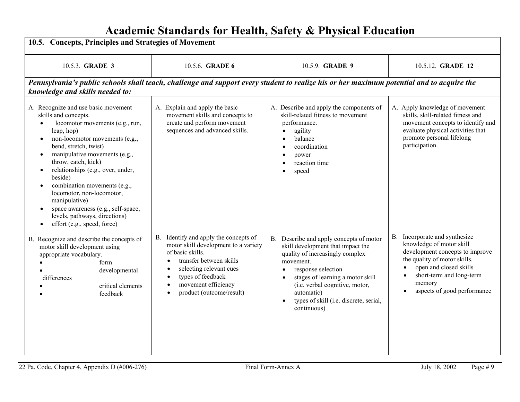| 10.5. Concepts, Principles and Strategies of Movement                                                                                                                                                                                                                                                                                                                                                                                                                                                                        |                                                                                                                                                                                                                                                                                     |                                                                                                                                                                                                                                                                                                                                        |                                                                                                                                                                                                                             |
|------------------------------------------------------------------------------------------------------------------------------------------------------------------------------------------------------------------------------------------------------------------------------------------------------------------------------------------------------------------------------------------------------------------------------------------------------------------------------------------------------------------------------|-------------------------------------------------------------------------------------------------------------------------------------------------------------------------------------------------------------------------------------------------------------------------------------|----------------------------------------------------------------------------------------------------------------------------------------------------------------------------------------------------------------------------------------------------------------------------------------------------------------------------------------|-----------------------------------------------------------------------------------------------------------------------------------------------------------------------------------------------------------------------------|
| 10.5.3. GRADE 3                                                                                                                                                                                                                                                                                                                                                                                                                                                                                                              | 10.5.6. <b>GRADE 6</b>                                                                                                                                                                                                                                                              | 10.5.9. GRADE 9                                                                                                                                                                                                                                                                                                                        | 10.5.12. GRADE 12                                                                                                                                                                                                           |
| knowledge and skills needed to:                                                                                                                                                                                                                                                                                                                                                                                                                                                                                              |                                                                                                                                                                                                                                                                                     | Pennsylvania's public schools shall teach, challenge and support every student to realize his or her maximum potential and to acquire the                                                                                                                                                                                              |                                                                                                                                                                                                                             |
| A. Recognize and use basic movement<br>skills and concepts.<br>locomotor movements (e.g., run,<br>leap, hop)<br>non-locomotor movements (e.g.,<br>$\bullet$<br>bend, stretch, twist)<br>manipulative movements (e.g.,<br>$\bullet$<br>throw, catch, kick)<br>relationships (e.g., over, under,<br>beside)<br>combination movements (e.g.,<br>٠<br>locomotor, non-locomotor,<br>manipulative)<br>space awareness (e.g., self-space,<br>$\bullet$<br>levels, pathways, directions)<br>effort (e.g., speed, force)<br>$\bullet$ | A. Explain and apply the basic<br>movement skills and concepts to<br>create and perform movement<br>sequences and advanced skills.                                                                                                                                                  | A. Describe and apply the components of<br>skill-related fitness to movement<br>performance.<br>agility<br>balance<br>coordination<br>power<br>reaction time<br>speed<br>$\bullet$                                                                                                                                                     | A. Apply knowledge of movement<br>skills, skill-related fitness and<br>movement concepts to identify and<br>evaluate physical activities that<br>promote personal lifelong<br>participation.                                |
| B. Recognize and describe the concepts of<br>motor skill development using<br>appropriate vocabulary.<br>form<br>developmental<br>differences<br>critical elements<br>feedback                                                                                                                                                                                                                                                                                                                                               | B. Identify and apply the concepts of<br>motor skill development to a variety<br>of basic skills.<br>transfer between skills<br>$\bullet$<br>selecting relevant cues<br>types of feedback<br>$\bullet$<br>movement efficiency<br>$\bullet$<br>product (outcome/result)<br>$\bullet$ | B. Describe and apply concepts of motor<br>skill development that impact the<br>quality of increasingly complex<br>movement.<br>response selection<br>$\bullet$<br>stages of learning a motor skill<br>$\bullet$<br>(i.e. verbal cognitive, motor,<br>automatic)<br>types of skill (i.e. discrete, serial,<br>$\bullet$<br>continuous) | B. Incorporate and synthesize<br>knowledge of motor skill<br>development concepts to improve<br>the quality of motor skills.<br>open and closed skills<br>short-term and long-term<br>memory<br>aspects of good performance |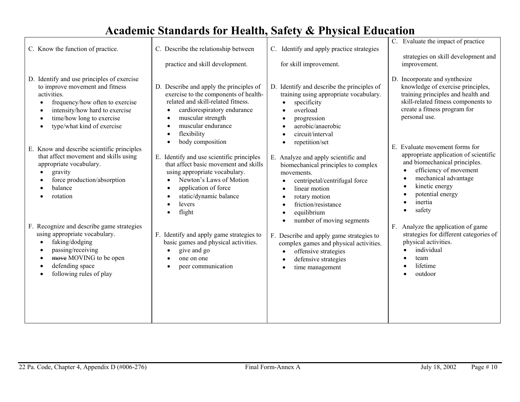| C. Know the function of practice.                                                                                                                                                                                                         | C. Describe the relationship between                                                                                                                                                                                                       | Identify and apply practice strategies<br>C.                                                                                                                                                                                                | C. Evaluate the impact of practice<br>strategies on skill development and                                                                                                                                             |
|-------------------------------------------------------------------------------------------------------------------------------------------------------------------------------------------------------------------------------------------|--------------------------------------------------------------------------------------------------------------------------------------------------------------------------------------------------------------------------------------------|---------------------------------------------------------------------------------------------------------------------------------------------------------------------------------------------------------------------------------------------|-----------------------------------------------------------------------------------------------------------------------------------------------------------------------------------------------------------------------|
|                                                                                                                                                                                                                                           | practice and skill development.                                                                                                                                                                                                            | for skill improvement.                                                                                                                                                                                                                      | improvement.                                                                                                                                                                                                          |
| D. Identify and use principles of exercise<br>to improve movement and fitness<br>activities.<br>frequency/how often to exercise<br>intensity/how hard to exercise<br>time/how long to exercise<br>$\bullet$<br>type/what kind of exercise | D. Describe and apply the principles of<br>exercise to the components of health-<br>related and skill-related fitness.<br>cardiorespiratory endurance<br>muscular strength<br>muscular endurance<br>- 0<br>flexibility<br>body composition | D. Identify and describe the principles of<br>training using appropriate vocabulary.<br>specificity<br>overload<br>progression<br>aerobic/anaerobic<br>circuit/interval<br>repetition/set                                                   | D. Incorporate and synthesize<br>knowledge of exercise principles,<br>training principles and health and<br>skill-related fitness components to<br>create a fitness program for<br>personal use.                      |
| E. Know and describe scientific principles<br>that affect movement and skills using<br>appropriate vocabulary.<br>gravity<br>force production/absorption<br>balance<br>rotation                                                           | E. Identify and use scientific principles<br>that affect basic movement and skills<br>using appropriate vocabulary.<br>Newton's Laws of Motion<br>application of force<br>static/dynamic balance<br>levers<br>flight                       | E. Analyze and apply scientific and<br>biomechanical principles to complex<br>movements.<br>centripetal/centrifugal force<br>linear motion<br>rotary motion<br>friction/resistance<br>equilibrium<br>number of moving segments<br>$\bullet$ | E. Evaluate movement forms for<br>appropriate application of scientific<br>and biomechanical principles.<br>efficiency of movement<br>mechanical advantage<br>kinetic energy<br>potential energy<br>inertia<br>safety |
| F. Recognize and describe game strategies<br>using appropriate vocabulary.<br>faking/dodging<br>passing/receiving<br>$\bullet$<br>move MOVING to be open<br>$\bullet$<br>defending space<br>$\bullet$<br>following rules of play          | F. Identify and apply game strategies to<br>basic games and physical activities.<br>give and go<br>one on one<br>peer communication                                                                                                        | F. Describe and apply game strategies to<br>complex games and physical activities.<br>offensive strategies<br>$\bullet$<br>defensive strategies<br>time management                                                                          | F.<br>Analyze the application of game<br>strategies for different categories of<br>physical activities.<br>individual<br>team<br>lifetime<br>outdoor                                                                  |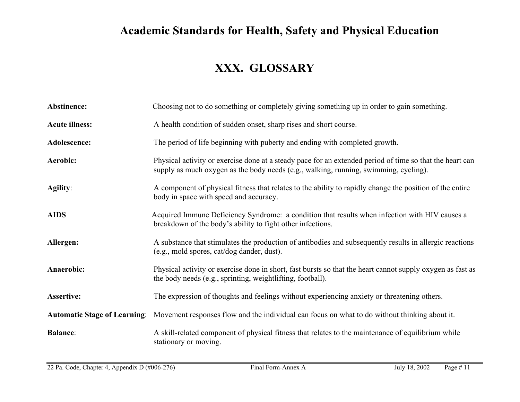### **XXX. GLOSSARY**

| Abstinence:           | Choosing not to do something or completely giving something up in order to gain something.                                                                                                       |
|-----------------------|--------------------------------------------------------------------------------------------------------------------------------------------------------------------------------------------------|
| <b>Acute illness:</b> | A health condition of sudden onset, sharp rises and short course.                                                                                                                                |
| Adolescence:          | The period of life beginning with puberty and ending with completed growth.                                                                                                                      |
| Aerobic:              | Physical activity or exercise done at a steady pace for an extended period of time so that the heart can<br>supply as much oxygen as the body needs (e.g., walking, running, swimming, cycling). |
| Agility:              | A component of physical fitness that relates to the ability to rapidly change the position of the entire<br>body in space with speed and accuracy.                                               |
| <b>AIDS</b>           | Acquired Immune Deficiency Syndrome: a condition that results when infection with HIV causes a<br>breakdown of the body's ability to fight other infections.                                     |
| Allergen:             | A substance that stimulates the production of antibodies and subsequently results in allergic reactions<br>(e.g., mold spores, cat/dog dander, dust).                                            |
| Anaerobic:            | Physical activity or exercise done in short, fast bursts so that the heart cannot supply oxygen as fast as<br>the body needs (e.g., sprinting, weightlifting, football).                         |
| <b>Assertive:</b>     | The expression of thoughts and feelings without experiencing anxiety or threatening others.                                                                                                      |
|                       | Automatic Stage of Learning: Movement responses flow and the individual can focus on what to do without thinking about it.                                                                       |
| <b>Balance:</b>       | A skill-related component of physical fitness that relates to the maintenance of equilibrium while<br>stationary or moving.                                                                      |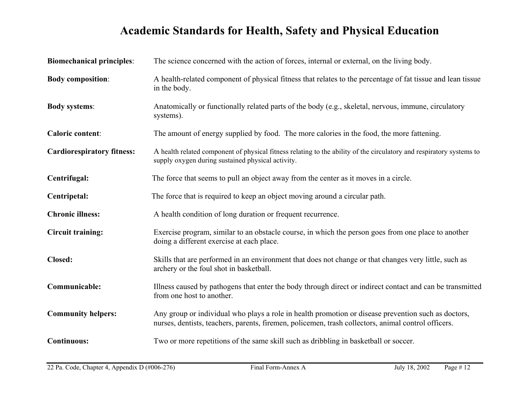| <b>Biomechanical principles:</b>  | The science concerned with the action of forces, internal or external, on the living body.                                                                                                                 |
|-----------------------------------|------------------------------------------------------------------------------------------------------------------------------------------------------------------------------------------------------------|
| <b>Body composition:</b>          | A health-related component of physical fitness that relates to the percentage of fat tissue and lean tissue<br>in the body.                                                                                |
| <b>Body systems:</b>              | Anatomically or functionally related parts of the body (e.g., skeletal, nervous, immune, circulatory<br>systems).                                                                                          |
| <b>Caloric content:</b>           | The amount of energy supplied by food. The more calories in the food, the more fattening.                                                                                                                  |
| <b>Cardiorespiratory fitness:</b> | A health related component of physical fitness relating to the ability of the circulatory and respiratory systems to<br>supply oxygen during sustained physical activity.                                  |
| Centrifugal:                      | The force that seems to pull an object away from the center as it moves in a circle.                                                                                                                       |
| Centripetal:                      | The force that is required to keep an object moving around a circular path.                                                                                                                                |
| <b>Chronic illness:</b>           | A health condition of long duration or frequent recurrence.                                                                                                                                                |
| <b>Circuit training:</b>          | Exercise program, similar to an obstacle course, in which the person goes from one place to another<br>doing a different exercise at each place.                                                           |
| Closed:                           | Skills that are performed in an environment that does not change or that changes very little, such as<br>archery or the foul shot in basketball.                                                           |
| Communicable:                     | Illness caused by pathogens that enter the body through direct or indirect contact and can be transmitted<br>from one host to another.                                                                     |
| <b>Community helpers:</b>         | Any group or individual who plays a role in health promotion or disease prevention such as doctors,<br>nurses, dentists, teachers, parents, firemen, policemen, trash collectors, animal control officers. |
| <b>Continuous:</b>                | Two or more repetitions of the same skill such as dribbling in basketball or soccer.                                                                                                                       |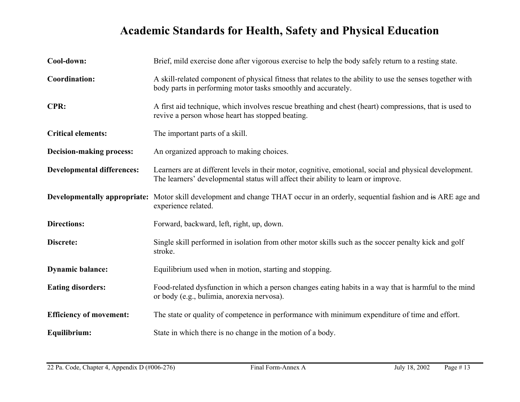| Cool-down:                        | Brief, mild exercise done after vigorous exercise to help the body safely return to a resting state.                                                                                         |
|-----------------------------------|----------------------------------------------------------------------------------------------------------------------------------------------------------------------------------------------|
| <b>Coordination:</b>              | A skill-related component of physical fitness that relates to the ability to use the senses together with<br>body parts in performing motor tasks smoothly and accurately.                   |
| CPR:                              | A first aid technique, which involves rescue breathing and chest (heart) compressions, that is used to<br>revive a person whose heart has stopped beating.                                   |
| <b>Critical elements:</b>         | The important parts of a skill.                                                                                                                                                              |
| Decision-making process:          | An organized approach to making choices.                                                                                                                                                     |
| <b>Developmental differences:</b> | Learners are at different levels in their motor, cognitive, emotional, social and physical development.<br>The learners' developmental status will affect their ability to learn or improve. |
|                                   | <b>Developmentally appropriate:</b> Motor skill development and change THAT occur in an orderly, sequential fashion and is ARE age and<br>experience related.                                |
| <b>Directions:</b>                | Forward, backward, left, right, up, down.                                                                                                                                                    |
| Discrete:                         | Single skill performed in isolation from other motor skills such as the soccer penalty kick and golf<br>stroke.                                                                              |
| <b>Dynamic balance:</b>           | Equilibrium used when in motion, starting and stopping.                                                                                                                                      |
| <b>Eating disorders:</b>          | Food-related dysfunction in which a person changes eating habits in a way that is harmful to the mind<br>or body (e.g., bulimia, anorexia nervosa).                                          |
| <b>Efficiency of movement:</b>    | The state or quality of competence in performance with minimum expenditure of time and effort.                                                                                               |
| Equilibrium:                      | State in which there is no change in the motion of a body.                                                                                                                                   |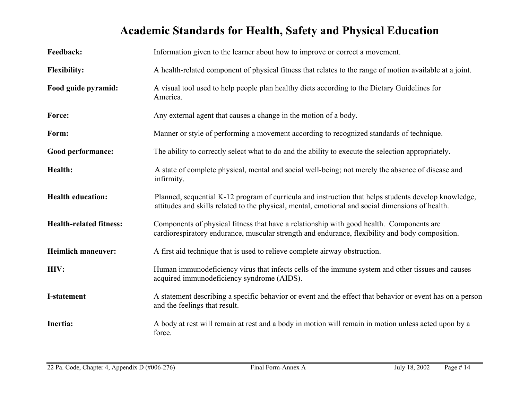| Feedback:                      | Information given to the learner about how to improve or correct a movement.                                                                                                                             |
|--------------------------------|----------------------------------------------------------------------------------------------------------------------------------------------------------------------------------------------------------|
| <b>Flexibility:</b>            | A health-related component of physical fitness that relates to the range of motion available at a joint.                                                                                                 |
| Food guide pyramid:            | A visual tool used to help people plan healthy diets according to the Dietary Guidelines for<br>America.                                                                                                 |
| Force:                         | Any external agent that causes a change in the motion of a body.                                                                                                                                         |
| Form:                          | Manner or style of performing a movement according to recognized standards of technique.                                                                                                                 |
| Good performance:              | The ability to correctly select what to do and the ability to execute the selection appropriately.                                                                                                       |
| Health:                        | A state of complete physical, mental and social well-being; not merely the absence of disease and<br>infirmity.                                                                                          |
| <b>Health education:</b>       | Planned, sequential K-12 program of curricula and instruction that helps students develop knowledge,<br>attitudes and skills related to the physical, mental, emotional and social dimensions of health. |
| <b>Health-related fitness:</b> | Components of physical fitness that have a relationship with good health. Components are<br>cardiorespiratory endurance, muscular strength and endurance, flexibility and body composition.              |
| <b>Heimlich maneuver:</b>      | A first aid technique that is used to relieve complete airway obstruction.                                                                                                                               |
| HIV:                           | Human immunodeficiency virus that infects cells of the immune system and other tissues and causes<br>acquired immunodeficiency syndrome (AIDS).                                                          |
| <b>I-statement</b>             | A statement describing a specific behavior or event and the effect that behavior or event has on a person<br>and the feelings that result.                                                               |
| Inertia:                       | A body at rest will remain at rest and a body in motion will remain in motion unless acted upon by a<br>force.                                                                                           |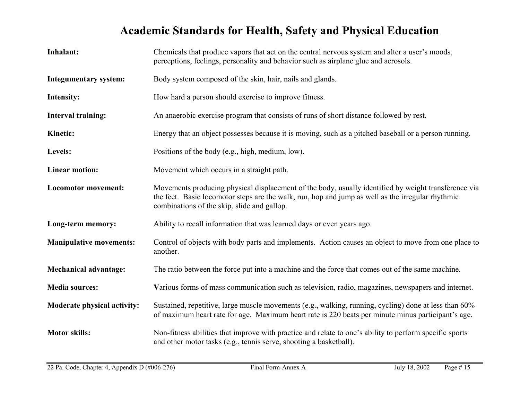| Inhalant:                      | Chemicals that produce vapors that act on the central nervous system and alter a user's moods,<br>perceptions, feelings, personality and behavior such as airplane glue and aerosols.                                                                    |
|--------------------------------|----------------------------------------------------------------------------------------------------------------------------------------------------------------------------------------------------------------------------------------------------------|
| <b>Integumentary system:</b>   | Body system composed of the skin, hair, nails and glands.                                                                                                                                                                                                |
| Intensity:                     | How hard a person should exercise to improve fitness.                                                                                                                                                                                                    |
| Interval training:             | An anaerobic exercise program that consists of runs of short distance followed by rest.                                                                                                                                                                  |
| <b>Kinetic:</b>                | Energy that an object possesses because it is moving, such as a pitched baseball or a person running.                                                                                                                                                    |
| Levels:                        | Positions of the body (e.g., high, medium, low).                                                                                                                                                                                                         |
| <b>Linear motion:</b>          | Movement which occurs in a straight path.                                                                                                                                                                                                                |
| <b>Locomotor movement:</b>     | Movements producing physical displacement of the body, usually identified by weight transference via<br>the feet. Basic locomotor steps are the walk, run, hop and jump as well as the irregular rhythmic<br>combinations of the skip, slide and gallop. |
| Long-term memory:              | Ability to recall information that was learned days or even years ago.                                                                                                                                                                                   |
| <b>Manipulative movements:</b> | Control of objects with body parts and implements. Action causes an object to move from one place to<br>another.                                                                                                                                         |
| <b>Mechanical advantage:</b>   | The ratio between the force put into a machine and the force that comes out of the same machine.                                                                                                                                                         |
| <b>Media sources:</b>          | Various forms of mass communication such as television, radio, magazines, newspapers and internet.                                                                                                                                                       |
| Moderate physical activity:    | Sustained, repetitive, large muscle movements (e.g., walking, running, cycling) done at less than 60%<br>of maximum heart rate for age. Maximum heart rate is 220 beats per minute minus participant's age.                                              |
| <b>Motor skills:</b>           | Non-fitness abilities that improve with practice and relate to one's ability to perform specific sports<br>and other motor tasks (e.g., tennis serve, shooting a basketball).                                                                            |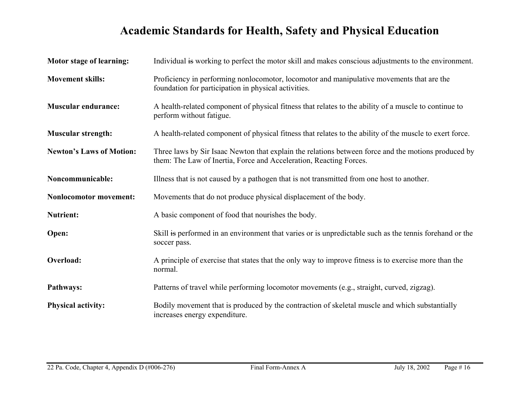| <b>Motor stage of learning:</b> | Individual is working to perfect the motor skill and makes conscious adjustments to the environment.                                                                      |
|---------------------------------|---------------------------------------------------------------------------------------------------------------------------------------------------------------------------|
| <b>Movement skills:</b>         | Proficiency in performing nonlocomotor, locomotor and manipulative movements that are the<br>foundation for participation in physical activities.                         |
| <b>Muscular endurance:</b>      | A health-related component of physical fitness that relates to the ability of a muscle to continue to<br>perform without fatigue.                                         |
| <b>Muscular strength:</b>       | A health-related component of physical fitness that relates to the ability of the muscle to exert force.                                                                  |
| <b>Newton's Laws of Motion:</b> | Three laws by Sir Isaac Newton that explain the relations between force and the motions produced by<br>them: The Law of Inertia, Force and Acceleration, Reacting Forces. |
| Noncommunicable:                | Illness that is not caused by a pathogen that is not transmitted from one host to another.                                                                                |
| <b>Nonlocomotor movement:</b>   | Movements that do not produce physical displacement of the body.                                                                                                          |
| <b>Nutrient:</b>                | A basic component of food that nourishes the body.                                                                                                                        |
| Open:                           | Skill is performed in an environment that varies or is unpredictable such as the tennis forehand or the<br>soccer pass.                                                   |
| Overload:                       | A principle of exercise that states that the only way to improve fitness is to exercise more than the<br>normal.                                                          |
| Pathways:                       | Patterns of travel while performing locomotor movements (e.g., straight, curved, zigzag).                                                                                 |
| <b>Physical activity:</b>       | Bodily movement that is produced by the contraction of skeletal muscle and which substantially<br>increases energy expenditure.                                           |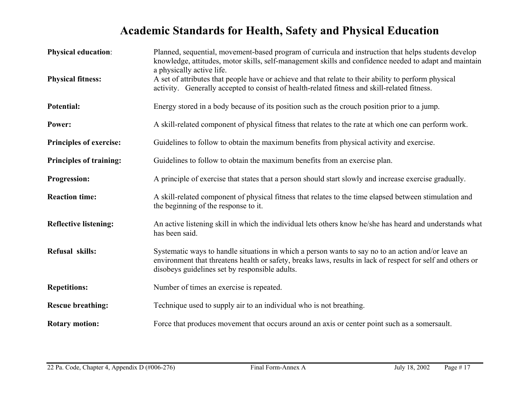| <b>Physical education:</b><br><b>Physical fitness:</b> | Planned, sequential, movement-based program of curricula and instruction that helps students develop<br>knowledge, attitudes, motor skills, self-management skills and confidence needed to adapt and maintain<br>a physically active life.<br>A set of attributes that people have or achieve and that relate to their ability to perform physical<br>activity. Generally accepted to consist of health-related fitness and skill-related fitness. |
|--------------------------------------------------------|-----------------------------------------------------------------------------------------------------------------------------------------------------------------------------------------------------------------------------------------------------------------------------------------------------------------------------------------------------------------------------------------------------------------------------------------------------|
| Potential:                                             | Energy stored in a body because of its position such as the crouch position prior to a jump.                                                                                                                                                                                                                                                                                                                                                        |
| Power:                                                 | A skill-related component of physical fitness that relates to the rate at which one can perform work.                                                                                                                                                                                                                                                                                                                                               |
| <b>Principles of exercise:</b>                         | Guidelines to follow to obtain the maximum benefits from physical activity and exercise.                                                                                                                                                                                                                                                                                                                                                            |
| <b>Principles of training:</b>                         | Guidelines to follow to obtain the maximum benefits from an exercise plan.                                                                                                                                                                                                                                                                                                                                                                          |
| <b>Progression:</b>                                    | A principle of exercise that states that a person should start slowly and increase exercise gradually.                                                                                                                                                                                                                                                                                                                                              |
| <b>Reaction time:</b>                                  | A skill-related component of physical fitness that relates to the time elapsed between stimulation and<br>the beginning of the response to it.                                                                                                                                                                                                                                                                                                      |
| <b>Reflective listening:</b>                           | An active listening skill in which the individual lets others know he/she has heard and understands what<br>has been said.                                                                                                                                                                                                                                                                                                                          |
| Refusal skills:                                        | Systematic ways to handle situations in which a person wants to say no to an action and/or leave an<br>environment that threatens health or safety, breaks laws, results in lack of respect for self and others or<br>disobeys guidelines set by responsible adults.                                                                                                                                                                                |
| <b>Repetitions:</b>                                    | Number of times an exercise is repeated.                                                                                                                                                                                                                                                                                                                                                                                                            |
| <b>Rescue breathing:</b>                               | Technique used to supply air to an individual who is not breathing.                                                                                                                                                                                                                                                                                                                                                                                 |
| <b>Rotary motion:</b>                                  | Force that produces movement that occurs around an axis or center point such as a somersault.                                                                                                                                                                                                                                                                                                                                                       |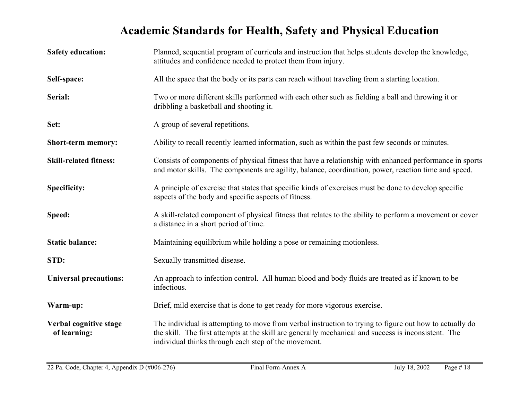| <b>Safety education:</b>               | Planned, sequential program of curricula and instruction that helps students develop the knowledge,<br>attitudes and confidence needed to protect them from injury.                                                                                                     |
|----------------------------------------|-------------------------------------------------------------------------------------------------------------------------------------------------------------------------------------------------------------------------------------------------------------------------|
| Self-space:                            | All the space that the body or its parts can reach without traveling from a starting location.                                                                                                                                                                          |
| Serial:                                | Two or more different skills performed with each other such as fielding a ball and throwing it or<br>dribbling a basketball and shooting it.                                                                                                                            |
| Set:                                   | A group of several repetitions.                                                                                                                                                                                                                                         |
| <b>Short-term memory:</b>              | Ability to recall recently learned information, such as within the past few seconds or minutes.                                                                                                                                                                         |
| <b>Skill-related fitness:</b>          | Consists of components of physical fitness that have a relationship with enhanced performance in sports<br>and motor skills. The components are agility, balance, coordination, power, reaction time and speed.                                                         |
| <b>Specificity:</b>                    | A principle of exercise that states that specific kinds of exercises must be done to develop specific<br>aspects of the body and specific aspects of fitness.                                                                                                           |
| Speed:                                 | A skill-related component of physical fitness that relates to the ability to perform a movement or cover<br>a distance in a short period of time.                                                                                                                       |
| <b>Static balance:</b>                 | Maintaining equilibrium while holding a pose or remaining motionless.                                                                                                                                                                                                   |
| STD:                                   | Sexually transmitted disease.                                                                                                                                                                                                                                           |
| <b>Universal precautions:</b>          | An approach to infection control. All human blood and body fluids are treated as if known to be<br>infectious.                                                                                                                                                          |
| Warm-up:                               | Brief, mild exercise that is done to get ready for more vigorous exercise.                                                                                                                                                                                              |
| Verbal cognitive stage<br>of learning: | The individual is attempting to move from verbal instruction to trying to figure out how to actually do<br>the skill. The first attempts at the skill are generally mechanical and success is inconsistent. The<br>individual thinks through each step of the movement. |